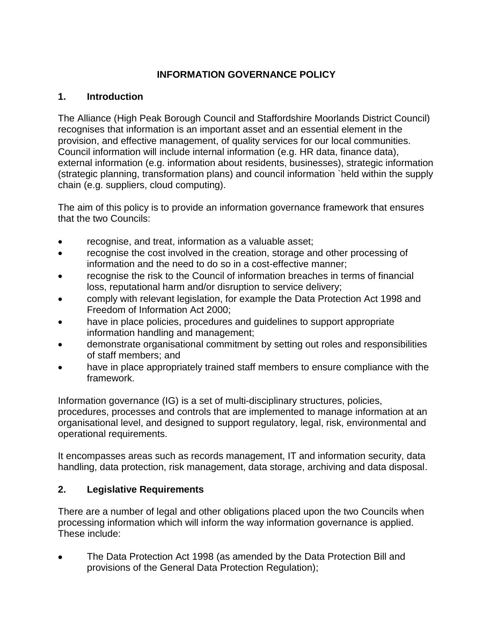## **INFORMATION GOVERNANCE POLICY**

### **1. Introduction**

The Alliance (High Peak Borough Council and Staffordshire Moorlands District Council) recognises that information is an important asset and an essential element in the provision, and effective management, of quality services for our local communities. Council information will include internal information (e.g. HR data, finance data), external information (e.g. information about residents, businesses), strategic information (strategic planning, transformation plans) and council information `held within the supply chain (e.g. suppliers, cloud computing).

The aim of this policy is to provide an information governance framework that ensures that the two Councils:

- recognise, and treat, information as a valuable asset;
- recognise the cost involved in the creation, storage and other processing of information and the need to do so in a cost-effective manner;
- recognise the risk to the Council of information breaches in terms of financial loss, reputational harm and/or disruption to service delivery;
- comply with relevant legislation, for example the Data Protection Act 1998 and Freedom of Information Act 2000;
- have in place policies, procedures and guidelines to support appropriate information handling and management;
- demonstrate organisational commitment by setting out roles and responsibilities of staff members; and
- have in place appropriately trained staff members to ensure compliance with the framework.

Information governance (IG) is a set of multi-disciplinary structures, policies, procedures, processes and controls that are implemented to manage information at an organisational level, and designed to support regulatory, legal, risk, environmental and operational requirements.

It encompasses areas such as records management, IT and information security, data handling, data protection, risk management, data storage, archiving and data disposal.

## **2. Legislative Requirements**

There are a number of legal and other obligations placed upon the two Councils when processing information which will inform the way information governance is applied. These include:

 The Data Protection Act 1998 (as amended by the Data Protection Bill and provisions of the General Data Protection Regulation);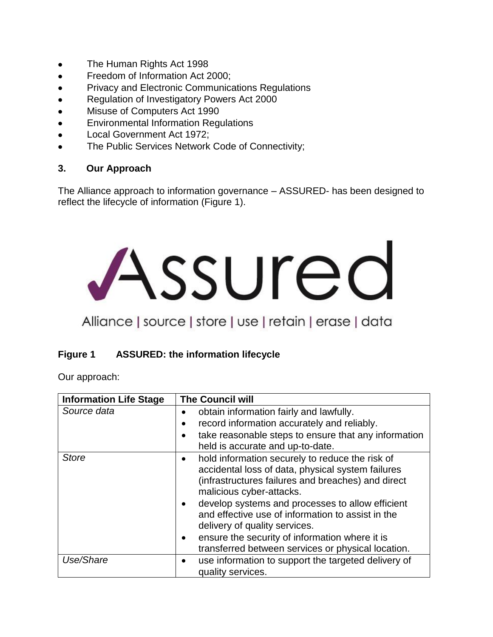- The Human Rights Act 1998
- Freedom of Information Act 2000;
- **•** Privacy and Electronic Communications Regulations
- Regulation of Investigatory Powers Act 2000
- Misuse of Computers Act 1990
- **Environmental Information Regulations**
- Local Government Act 1972;
- The Public Services Network Code of Connectivity;

### **3. Our Approach**

The Alliance approach to information governance – ASSURED- has been designed to reflect the lifecycle of information (Figure 1).

# Assured

# Alliance | source | store | use | retain | erase | data

## **Figure 1 ASSURED: the information lifecycle**

Our approach:

| <b>Information Life Stage</b> | <b>The Council will</b>                                                                                                                                                                                                                                                                                                                                                                                                                       |
|-------------------------------|-----------------------------------------------------------------------------------------------------------------------------------------------------------------------------------------------------------------------------------------------------------------------------------------------------------------------------------------------------------------------------------------------------------------------------------------------|
| Source data                   | obtain information fairly and lawfully.<br>record information accurately and reliably.<br>take reasonable steps to ensure that any information<br>held is accurate and up-to-date.                                                                                                                                                                                                                                                            |
| <b>Store</b>                  | hold information securely to reduce the risk of<br>٠<br>accidental loss of data, physical system failures<br>(infrastructures failures and breaches) and direct<br>malicious cyber-attacks.<br>develop systems and processes to allow efficient<br>and effective use of information to assist in the<br>delivery of quality services.<br>ensure the security of information where it is<br>transferred between services or physical location. |
| Use/Share                     | use information to support the targeted delivery of<br>$\bullet$<br>quality services.                                                                                                                                                                                                                                                                                                                                                         |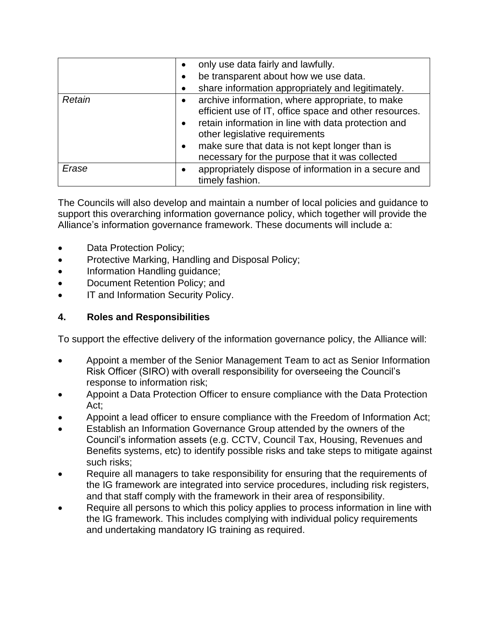|        | only use data fairly and lawfully.<br>$\bullet$<br>be transparent about how we use data.<br>٠<br>share information appropriately and legitimately.                                                                                                                                                                                             |
|--------|------------------------------------------------------------------------------------------------------------------------------------------------------------------------------------------------------------------------------------------------------------------------------------------------------------------------------------------------|
| Retain | archive information, where appropriate, to make<br>$\bullet$<br>efficient use of IT, office space and other resources.<br>retain information in line with data protection and<br>$\bullet$<br>other legislative requirements<br>make sure that data is not kept longer than is<br>$\bullet$<br>necessary for the purpose that it was collected |
| Erase  | appropriately dispose of information in a secure and<br>$\bullet$<br>timely fashion.                                                                                                                                                                                                                                                           |

The Councils will also develop and maintain a number of local policies and guidance to support this overarching information governance policy, which together will provide the Alliance's information governance framework. These documents will include a:

- Data Protection Policy;
- Protective Marking, Handling and Disposal Policy;
- Information Handling guidance;
- Document Retention Policy; and
- IT and Information Security Policy.

## **4. Roles and Responsibilities**

To support the effective delivery of the information governance policy, the Alliance will:

- Appoint a member of the Senior Management Team to act as Senior Information Risk Officer (SIRO) with overall responsibility for overseeing the Council's response to information risk;
- Appoint a Data Protection Officer to ensure compliance with the Data Protection Act;
- Appoint a lead officer to ensure compliance with the Freedom of Information Act;
- Establish an Information Governance Group attended by the owners of the Council's information assets (e.g. CCTV, Council Tax, Housing, Revenues and Benefits systems, etc) to identify possible risks and take steps to mitigate against such risks;
- Require all managers to take responsibility for ensuring that the requirements of the IG framework are integrated into service procedures, including risk registers, and that staff comply with the framework in their area of responsibility.
- Require all persons to which this policy applies to process information in line with the IG framework. This includes complying with individual policy requirements and undertaking mandatory IG training as required.